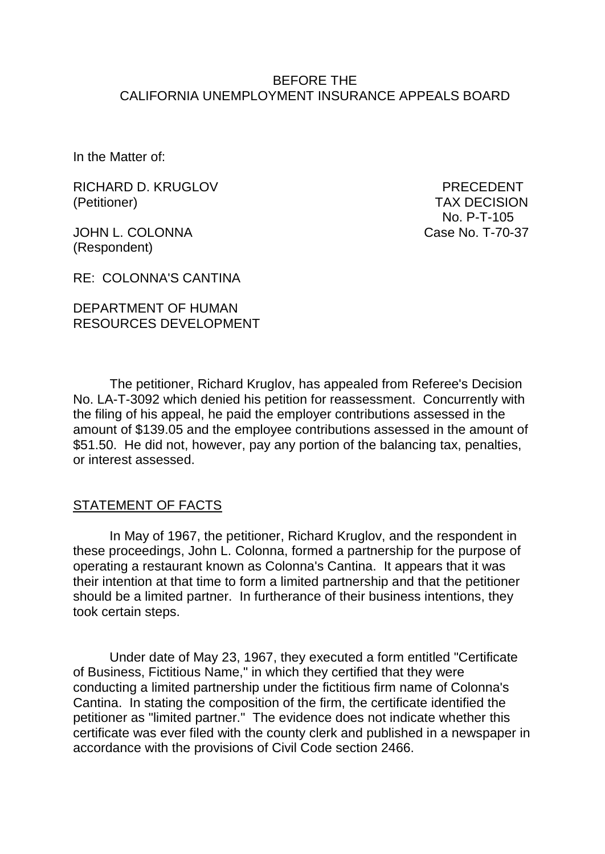#### BEFORE THE CALIFORNIA UNEMPLOYMENT INSURANCE APPEALS BOARD

In the Matter of:

RICHARD D. KRUGLOV PRECEDENT (Petitioner) TAX DECISION

JOHN L. COLONNA Case No. T-70-37 (Respondent)

No. P-T-105

RE: COLONNA'S CANTINA

## DEPARTMENT OF HUMAN RESOURCES DEVELOPMENT

The petitioner, Richard Kruglov, has appealed from Referee's Decision No. LA-T-3092 which denied his petition for reassessment. Concurrently with the filing of his appeal, he paid the employer contributions assessed in the amount of \$139.05 and the employee contributions assessed in the amount of \$51.50. He did not, however, pay any portion of the balancing tax, penalties, or interest assessed.

#### STATEMENT OF FACTS

In May of 1967, the petitioner, Richard Kruglov, and the respondent in these proceedings, John L. Colonna, formed a partnership for the purpose of operating a restaurant known as Colonna's Cantina. It appears that it was their intention at that time to form a limited partnership and that the petitioner should be a limited partner. In furtherance of their business intentions, they took certain steps.

Under date of May 23, 1967, they executed a form entitled "Certificate of Business, Fictitious Name," in which they certified that they were conducting a limited partnership under the fictitious firm name of Colonna's Cantina. In stating the composition of the firm, the certificate identified the petitioner as "limited partner." The evidence does not indicate whether this certificate was ever filed with the county clerk and published in a newspaper in accordance with the provisions of Civil Code section 2466.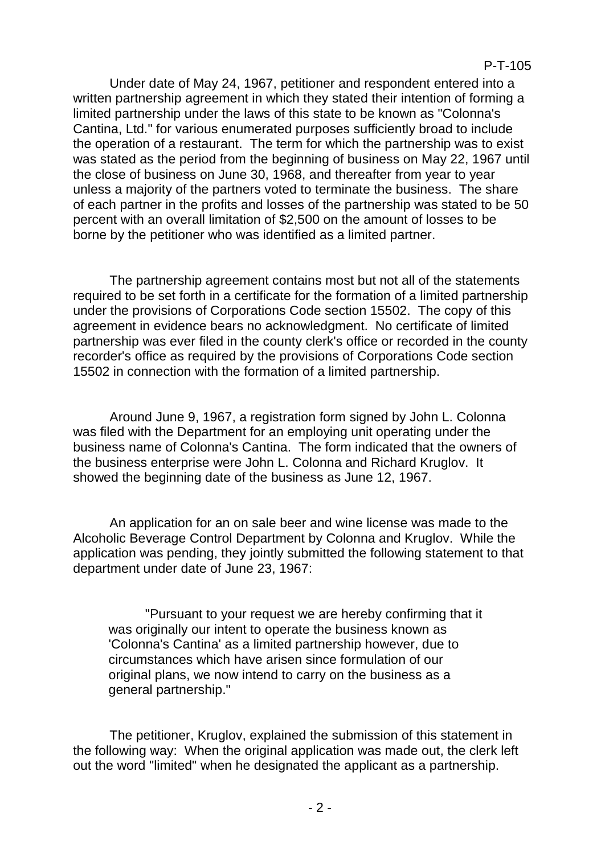Under date of May 24, 1967, petitioner and respondent entered into a written partnership agreement in which they stated their intention of forming a limited partnership under the laws of this state to be known as "Colonna's Cantina, Ltd." for various enumerated purposes sufficiently broad to include the operation of a restaurant. The term for which the partnership was to exist was stated as the period from the beginning of business on May 22, 1967 until the close of business on June 30, 1968, and thereafter from year to year unless a majority of the partners voted to terminate the business. The share of each partner in the profits and losses of the partnership was stated to be 50 percent with an overall limitation of \$2,500 on the amount of losses to be borne by the petitioner who was identified as a limited partner.

The partnership agreement contains most but not all of the statements required to be set forth in a certificate for the formation of a limited partnership under the provisions of Corporations Code section 15502. The copy of this agreement in evidence bears no acknowledgment. No certificate of limited partnership was ever filed in the county clerk's office or recorded in the county recorder's office as required by the provisions of Corporations Code section 15502 in connection with the formation of a limited partnership.

Around June 9, 1967, a registration form signed by John L. Colonna was filed with the Department for an employing unit operating under the business name of Colonna's Cantina. The form indicated that the owners of the business enterprise were John L. Colonna and Richard Kruglov. It showed the beginning date of the business as June 12, 1967.

An application for an on sale beer and wine license was made to the Alcoholic Beverage Control Department by Colonna and Kruglov. While the application was pending, they jointly submitted the following statement to that department under date of June 23, 1967:

"Pursuant to your request we are hereby confirming that it was originally our intent to operate the business known as 'Colonna's Cantina' as a limited partnership however, due to circumstances which have arisen since formulation of our original plans, we now intend to carry on the business as a general partnership."

The petitioner, Kruglov, explained the submission of this statement in the following way: When the original application was made out, the clerk left out the word "limited" when he designated the applicant as a partnership.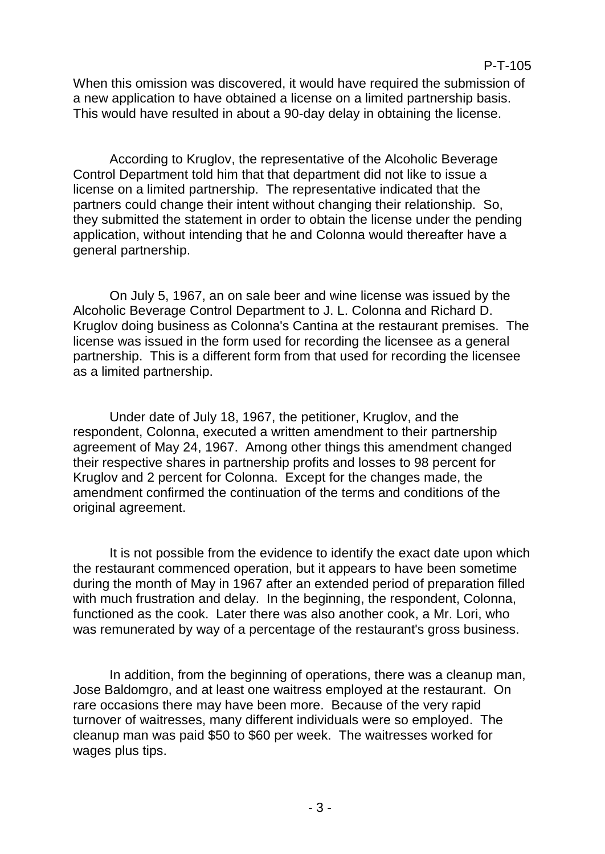When this omission was discovered, it would have required the submission of a new application to have obtained a license on a limited partnership basis. This would have resulted in about a 90-day delay in obtaining the license.

According to Kruglov, the representative of the Alcoholic Beverage Control Department told him that that department did not like to issue a license on a limited partnership. The representative indicated that the partners could change their intent without changing their relationship. So, they submitted the statement in order to obtain the license under the pending application, without intending that he and Colonna would thereafter have a general partnership.

On July 5, 1967, an on sale beer and wine license was issued by the Alcoholic Beverage Control Department to J. L. Colonna and Richard D. Kruglov doing business as Colonna's Cantina at the restaurant premises. The license was issued in the form used for recording the licensee as a general partnership. This is a different form from that used for recording the licensee as a limited partnership.

Under date of July 18, 1967, the petitioner, Kruglov, and the respondent, Colonna, executed a written amendment to their partnership agreement of May 24, 1967. Among other things this amendment changed their respective shares in partnership profits and losses to 98 percent for Kruglov and 2 percent for Colonna. Except for the changes made, the amendment confirmed the continuation of the terms and conditions of the original agreement.

It is not possible from the evidence to identify the exact date upon which the restaurant commenced operation, but it appears to have been sometime during the month of May in 1967 after an extended period of preparation filled with much frustration and delay. In the beginning, the respondent, Colonna, functioned as the cook. Later there was also another cook, a Mr. Lori, who was remunerated by way of a percentage of the restaurant's gross business.

In addition, from the beginning of operations, there was a cleanup man, Jose Baldomgro, and at least one waitress employed at the restaurant. On rare occasions there may have been more. Because of the very rapid turnover of waitresses, many different individuals were so employed. The cleanup man was paid \$50 to \$60 per week. The waitresses worked for wages plus tips.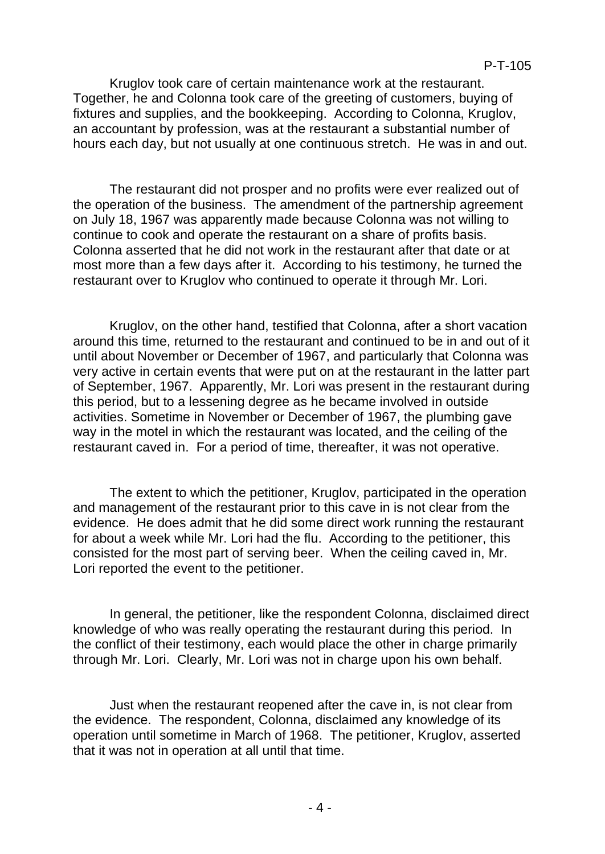Kruglov took care of certain maintenance work at the restaurant. Together, he and Colonna took care of the greeting of customers, buying of fixtures and supplies, and the bookkeeping. According to Colonna, Kruglov, an accountant by profession, was at the restaurant a substantial number of hours each day, but not usually at one continuous stretch. He was in and out.

The restaurant did not prosper and no profits were ever realized out of the operation of the business. The amendment of the partnership agreement on July 18, 1967 was apparently made because Colonna was not willing to continue to cook and operate the restaurant on a share of profits basis. Colonna asserted that he did not work in the restaurant after that date or at most more than a few days after it. According to his testimony, he turned the restaurant over to Kruglov who continued to operate it through Mr. Lori.

Kruglov, on the other hand, testified that Colonna, after a short vacation around this time, returned to the restaurant and continued to be in and out of it until about November or December of 1967, and particularly that Colonna was very active in certain events that were put on at the restaurant in the latter part of September, 1967. Apparently, Mr. Lori was present in the restaurant during this period, but to a lessening degree as he became involved in outside activities. Sometime in November or December of 1967, the plumbing gave way in the motel in which the restaurant was located, and the ceiling of the restaurant caved in. For a period of time, thereafter, it was not operative.

The extent to which the petitioner, Kruglov, participated in the operation and management of the restaurant prior to this cave in is not clear from the evidence. He does admit that he did some direct work running the restaurant for about a week while Mr. Lori had the flu. According to the petitioner, this consisted for the most part of serving beer. When the ceiling caved in, Mr. Lori reported the event to the petitioner.

In general, the petitioner, like the respondent Colonna, disclaimed direct knowledge of who was really operating the restaurant during this period. In the conflict of their testimony, each would place the other in charge primarily through Mr. Lori. Clearly, Mr. Lori was not in charge upon his own behalf.

Just when the restaurant reopened after the cave in, is not clear from the evidence. The respondent, Colonna, disclaimed any knowledge of its operation until sometime in March of 1968. The petitioner, Kruglov, asserted that it was not in operation at all until that time.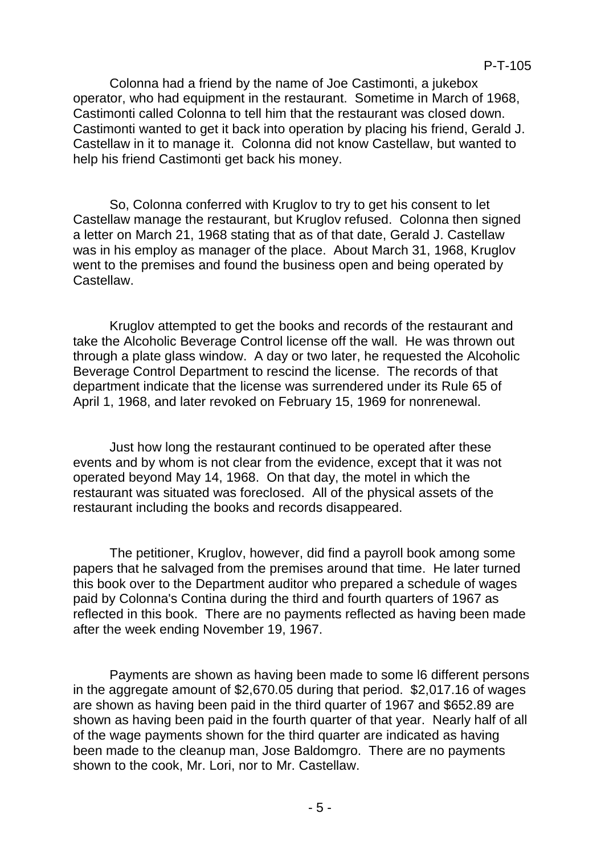Colonna had a friend by the name of Joe Castimonti, a jukebox operator, who had equipment in the restaurant. Sometime in March of 1968, Castimonti called Colonna to tell him that the restaurant was closed down. Castimonti wanted to get it back into operation by placing his friend, Gerald J. Castellaw in it to manage it. Colonna did not know Castellaw, but wanted to help his friend Castimonti get back his money.

So, Colonna conferred with Kruglov to try to get his consent to let Castellaw manage the restaurant, but Kruglov refused. Colonna then signed a letter on March 21, 1968 stating that as of that date, Gerald J. Castellaw was in his employ as manager of the place. About March 31, 1968, Kruglov went to the premises and found the business open and being operated by Castellaw.

Kruglov attempted to get the books and records of the restaurant and take the Alcoholic Beverage Control license off the wall. He was thrown out through a plate glass window. A day or two later, he requested the Alcoholic Beverage Control Department to rescind the license. The records of that department indicate that the license was surrendered under its Rule 65 of April 1, 1968, and later revoked on February 15, 1969 for nonrenewal.

Just how long the restaurant continued to be operated after these events and by whom is not clear from the evidence, except that it was not operated beyond May 14, 1968. On that day, the motel in which the restaurant was situated was foreclosed. All of the physical assets of the restaurant including the books and records disappeared.

The petitioner, Kruglov, however, did find a payroll book among some papers that he salvaged from the premises around that time. He later turned this book over to the Department auditor who prepared a schedule of wages paid by Colonna's Contina during the third and fourth quarters of 1967 as reflected in this book. There are no payments reflected as having been made after the week ending November 19, 1967.

Payments are shown as having been made to some l6 different persons in the aggregate amount of \$2,670.05 during that period. \$2,017.16 of wages are shown as having been paid in the third quarter of 1967 and \$652.89 are shown as having been paid in the fourth quarter of that year. Nearly half of all of the wage payments shown for the third quarter are indicated as having been made to the cleanup man, Jose Baldomgro. There are no payments shown to the cook, Mr. Lori, nor to Mr. Castellaw.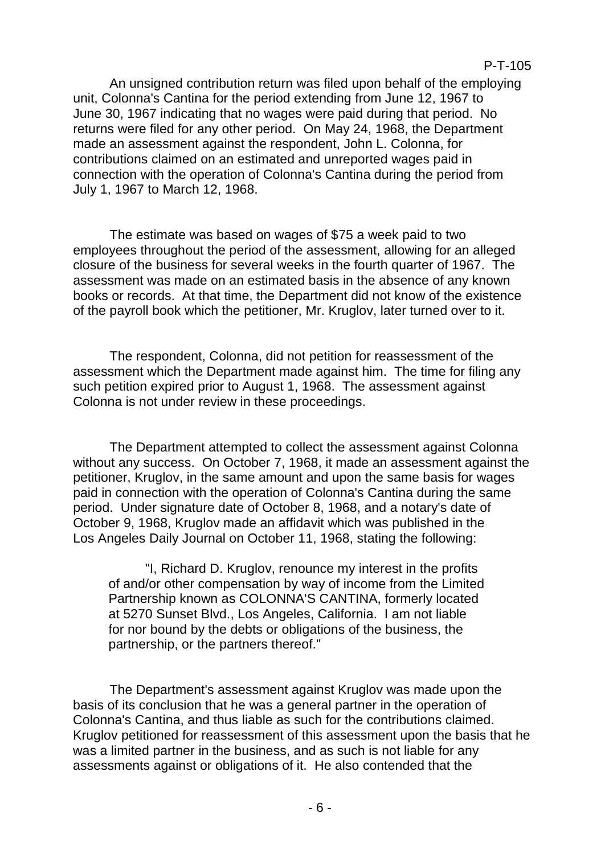An unsigned contribution return was filed upon behalf of the employing unit, Colonna's Cantina for the period extending from June 12, 1967 to June 30, 1967 indicating that no wages were paid during that period. No returns were filed for any other period. On May 24, 1968, the Department made an assessment against the respondent, John L. Colonna, for contributions claimed on an estimated and unreported wages paid in connection with the operation of Colonna's Cantina during the period from July 1, 1967 to March 12, 1968.

The estimate was based on wages of \$75 a week paid to two employees throughout the period of the assessment, allowing for an alleged closure of the business for several weeks in the fourth quarter of 1967. The assessment was made on an estimated basis in the absence of any known books or records. At that time, the Department did not know of the existence of the payroll book which the petitioner, Mr. Kruglov, later turned over to it.

The respondent, Colonna, did not petition for reassessment of the assessment which the Department made against him. The time for filing any such petition expired prior to August 1, 1968. The assessment against Colonna is not under review in these proceedings.

The Department attempted to collect the assessment against Colonna without any success. On October 7, 1968, it made an assessment against the petitioner, Kruglov, in the same amount and upon the same basis for wages paid in connection with the operation of Colonna's Cantina during the same period. Under signature date of October 8, 1968, and a notary's date of October 9, 1968, Kruglov made an affidavit which was published in the Los Angeles Daily Journal on October 11, 1968, stating the following:

"I, Richard D. Kruglov, renounce my interest in the profits of and/or other compensation by way of income from the Limited Partnership known as COLONNA'S CANTINA, formerly located at 5270 Sunset Blvd., Los Angeles, California. I am not liable for nor bound by the debts or obligations of the business, the partnership, or the partners thereof."

The Department's assessment against Kruglov was made upon the basis of its conclusion that he was a general partner in the operation of Colonna's Cantina, and thus liable as such for the contributions claimed. Kruglov petitioned for reassessment of this assessment upon the basis that he was a limited partner in the business, and as such is not liable for any assessments against or obligations of it. He also contended that the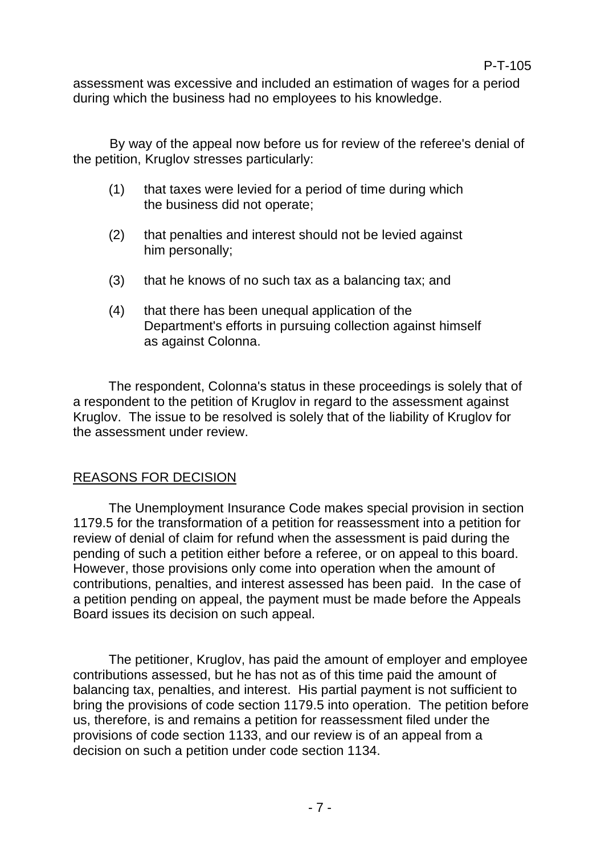assessment was excessive and included an estimation of wages for a period during which the business had no employees to his knowledge.

By way of the appeal now before us for review of the referee's denial of the petition, Kruglov stresses particularly:

- (1) that taxes were levied for a period of time during which the business did not operate;
- (2) that penalties and interest should not be levied against him personally;
- (3) that he knows of no such tax as a balancing tax; and
- (4) that there has been unequal application of the Department's efforts in pursuing collection against himself as against Colonna.

The respondent, Colonna's status in these proceedings is solely that of a respondent to the petition of Kruglov in regard to the assessment against Kruglov. The issue to be resolved is solely that of the liability of Kruglov for the assessment under review.

# REASONS FOR DECISION

The Unemployment Insurance Code makes special provision in section 1179.5 for the transformation of a petition for reassessment into a petition for review of denial of claim for refund when the assessment is paid during the pending of such a petition either before a referee, or on appeal to this board. However, those provisions only come into operation when the amount of contributions, penalties, and interest assessed has been paid. In the case of a petition pending on appeal, the payment must be made before the Appeals Board issues its decision on such appeal.

The petitioner, Kruglov, has paid the amount of employer and employee contributions assessed, but he has not as of this time paid the amount of balancing tax, penalties, and interest. His partial payment is not sufficient to bring the provisions of code section 1179.5 into operation. The petition before us, therefore, is and remains a petition for reassessment filed under the provisions of code section 1133, and our review is of an appeal from a decision on such a petition under code section 1134.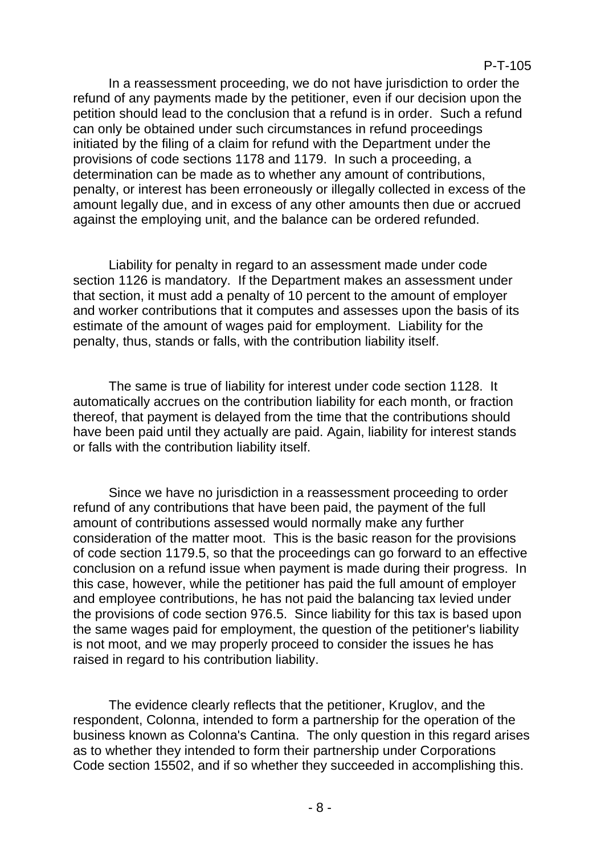In a reassessment proceeding, we do not have jurisdiction to order the refund of any payments made by the petitioner, even if our decision upon the petition should lead to the conclusion that a refund is in order. Such a refund can only be obtained under such circumstances in refund proceedings initiated by the filing of a claim for refund with the Department under the provisions of code sections 1178 and 1179. In such a proceeding, a determination can be made as to whether any amount of contributions, penalty, or interest has been erroneously or illegally collected in excess of the amount legally due, and in excess of any other amounts then due or accrued against the employing unit, and the balance can be ordered refunded.

Liability for penalty in regard to an assessment made under code section 1126 is mandatory. If the Department makes an assessment under that section, it must add a penalty of 10 percent to the amount of employer and worker contributions that it computes and assesses upon the basis of its estimate of the amount of wages paid for employment. Liability for the penalty, thus, stands or falls, with the contribution liability itself.

The same is true of liability for interest under code section 1128. It automatically accrues on the contribution liability for each month, or fraction thereof, that payment is delayed from the time that the contributions should have been paid until they actually are paid. Again, liability for interest stands or falls with the contribution liability itself.

Since we have no jurisdiction in a reassessment proceeding to order refund of any contributions that have been paid, the payment of the full amount of contributions assessed would normally make any further consideration of the matter moot. This is the basic reason for the provisions of code section 1179.5, so that the proceedings can go forward to an effective conclusion on a refund issue when payment is made during their progress. In this case, however, while the petitioner has paid the full amount of employer and employee contributions, he has not paid the balancing tax levied under the provisions of code section 976.5. Since liability for this tax is based upon the same wages paid for employment, the question of the petitioner's liability is not moot, and we may properly proceed to consider the issues he has raised in regard to his contribution liability.

The evidence clearly reflects that the petitioner, Kruglov, and the respondent, Colonna, intended to form a partnership for the operation of the business known as Colonna's Cantina. The only question in this regard arises as to whether they intended to form their partnership under Corporations Code section 15502, and if so whether they succeeded in accomplishing this.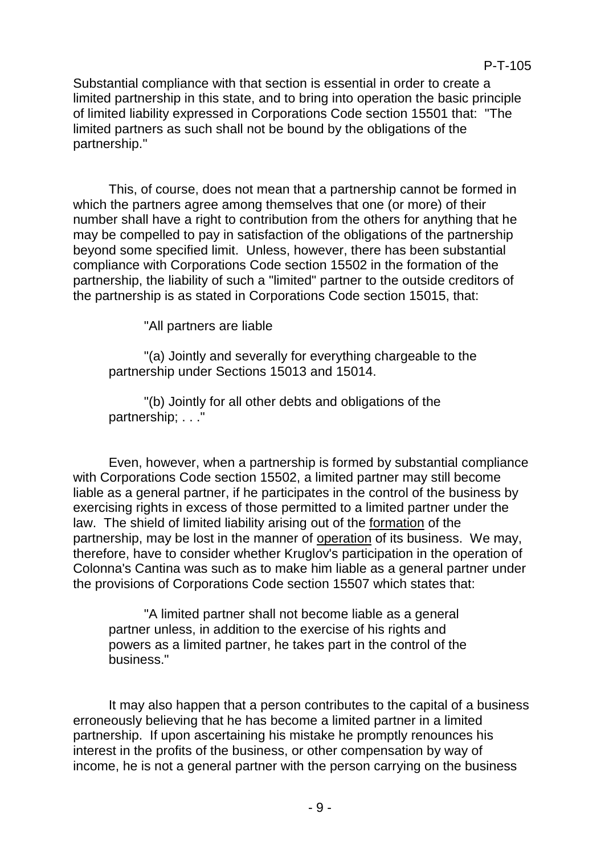Substantial compliance with that section is essential in order to create a limited partnership in this state, and to bring into operation the basic principle of limited liability expressed in Corporations Code section 15501 that: "The limited partners as such shall not be bound by the obligations of the partnership."

This, of course, does not mean that a partnership cannot be formed in which the partners agree among themselves that one (or more) of their number shall have a right to contribution from the others for anything that he may be compelled to pay in satisfaction of the obligations of the partnership beyond some specified limit. Unless, however, there has been substantial compliance with Corporations Code section 15502 in the formation of the partnership, the liability of such a "limited" partner to the outside creditors of the partnership is as stated in Corporations Code section 15015, that:

"All partners are liable

"(a) Jointly and severally for everything chargeable to the partnership under Sections 15013 and 15014.

"(b) Jointly for all other debts and obligations of the partnership; . . ."

Even, however, when a partnership is formed by substantial compliance with Corporations Code section 15502, a limited partner may still become liable as a general partner, if he participates in the control of the business by exercising rights in excess of those permitted to a limited partner under the law. The shield of limited liability arising out of the formation of the partnership, may be lost in the manner of operation of its business. We may, therefore, have to consider whether Kruglov's participation in the operation of Colonna's Cantina was such as to make him liable as a general partner under the provisions of Corporations Code section 15507 which states that:

"A limited partner shall not become liable as a general partner unless, in addition to the exercise of his rights and powers as a limited partner, he takes part in the control of the business."

It may also happen that a person contributes to the capital of a business erroneously believing that he has become a limited partner in a limited partnership. If upon ascertaining his mistake he promptly renounces his interest in the profits of the business, or other compensation by way of income, he is not a general partner with the person carrying on the business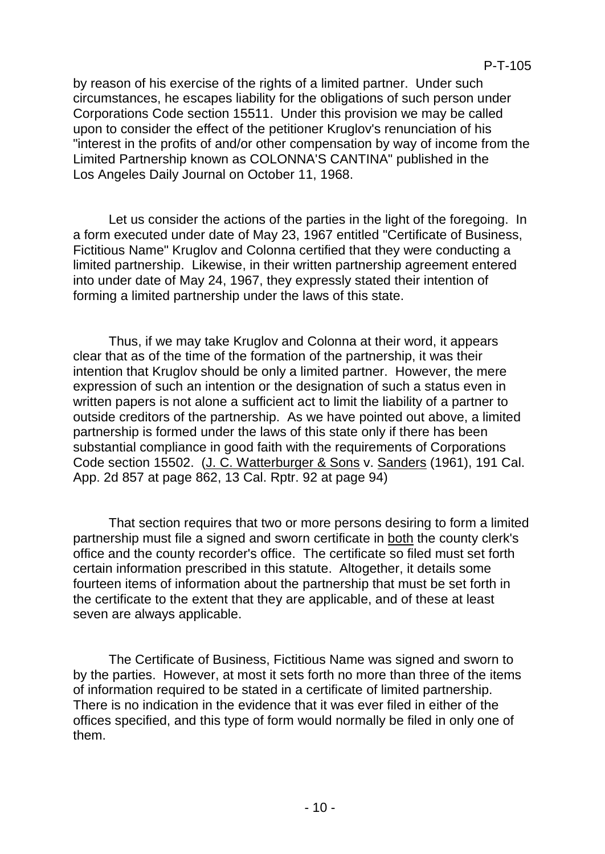by reason of his exercise of the rights of a limited partner. Under such circumstances, he escapes liability for the obligations of such person under Corporations Code section 15511. Under this provision we may be called upon to consider the effect of the petitioner Kruglov's renunciation of his "interest in the profits of and/or other compensation by way of income from the Limited Partnership known as COLONNA'S CANTINA" published in the Los Angeles Daily Journal on October 11, 1968.

Let us consider the actions of the parties in the light of the foregoing. In a form executed under date of May 23, 1967 entitled "Certificate of Business, Fictitious Name" Kruglov and Colonna certified that they were conducting a limited partnership. Likewise, in their written partnership agreement entered into under date of May 24, 1967, they expressly stated their intention of forming a limited partnership under the laws of this state.

Thus, if we may take Kruglov and Colonna at their word, it appears clear that as of the time of the formation of the partnership, it was their intention that Kruglov should be only a limited partner. However, the mere expression of such an intention or the designation of such a status even in written papers is not alone a sufficient act to limit the liability of a partner to outside creditors of the partnership. As we have pointed out above, a limited partnership is formed under the laws of this state only if there has been substantial compliance in good faith with the requirements of Corporations Code section 15502. (J. C. Watterburger & Sons v. Sanders (1961), 191 Cal. App. 2d 857 at page 862, 13 Cal. Rptr. 92 at page 94)

That section requires that two or more persons desiring to form a limited partnership must file a signed and sworn certificate in both the county clerk's office and the county recorder's office. The certificate so filed must set forth certain information prescribed in this statute. Altogether, it details some fourteen items of information about the partnership that must be set forth in the certificate to the extent that they are applicable, and of these at least seven are always applicable.

The Certificate of Business, Fictitious Name was signed and sworn to by the parties. However, at most it sets forth no more than three of the items of information required to be stated in a certificate of limited partnership. There is no indication in the evidence that it was ever filed in either of the offices specified, and this type of form would normally be filed in only one of them.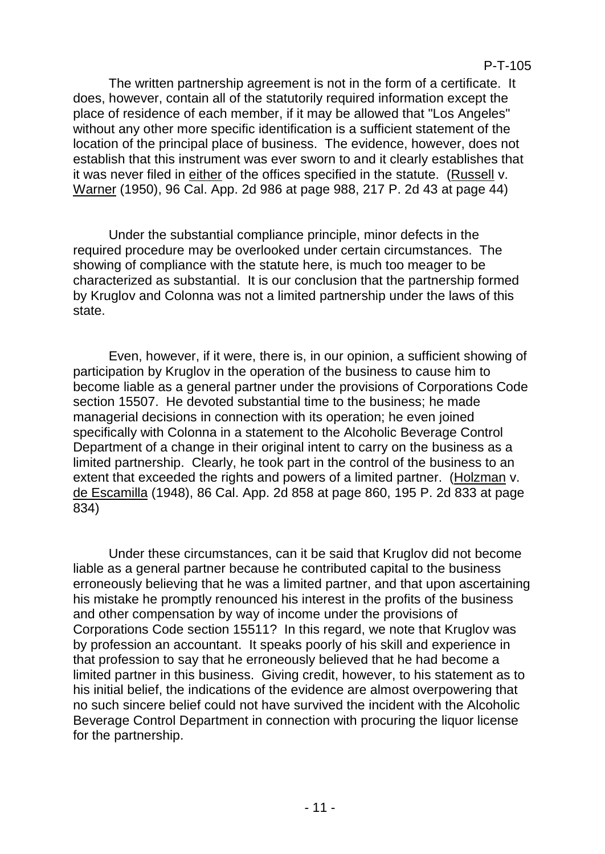The written partnership agreement is not in the form of a certificate. It does, however, contain all of the statutorily required information except the place of residence of each member, if it may be allowed that "Los Angeles" without any other more specific identification is a sufficient statement of the location of the principal place of business. The evidence, however, does not establish that this instrument was ever sworn to and it clearly establishes that it was never filed in either of the offices specified in the statute. (Russell v. Warner (1950), 96 Cal. App. 2d 986 at page 988, 217 P. 2d 43 at page 44)

Under the substantial compliance principle, minor defects in the required procedure may be overlooked under certain circumstances. The showing of compliance with the statute here, is much too meager to be characterized as substantial. It is our conclusion that the partnership formed by Kruglov and Colonna was not a limited partnership under the laws of this state.

Even, however, if it were, there is, in our opinion, a sufficient showing of participation by Kruglov in the operation of the business to cause him to become liable as a general partner under the provisions of Corporations Code section 15507. He devoted substantial time to the business; he made managerial decisions in connection with its operation; he even joined specifically with Colonna in a statement to the Alcoholic Beverage Control Department of a change in their original intent to carry on the business as a limited partnership. Clearly, he took part in the control of the business to an extent that exceeded the rights and powers of a limited partner. (Holzman v. de Escamilla (1948), 86 Cal. App. 2d 858 at page 860, 195 P. 2d 833 at page 834)

Under these circumstances, can it be said that Kruglov did not become liable as a general partner because he contributed capital to the business erroneously believing that he was a limited partner, and that upon ascertaining his mistake he promptly renounced his interest in the profits of the business and other compensation by way of income under the provisions of Corporations Code section 15511? In this regard, we note that Kruglov was by profession an accountant. It speaks poorly of his skill and experience in that profession to say that he erroneously believed that he had become a limited partner in this business. Giving credit, however, to his statement as to his initial belief, the indications of the evidence are almost overpowering that no such sincere belief could not have survived the incident with the Alcoholic Beverage Control Department in connection with procuring the liquor license for the partnership.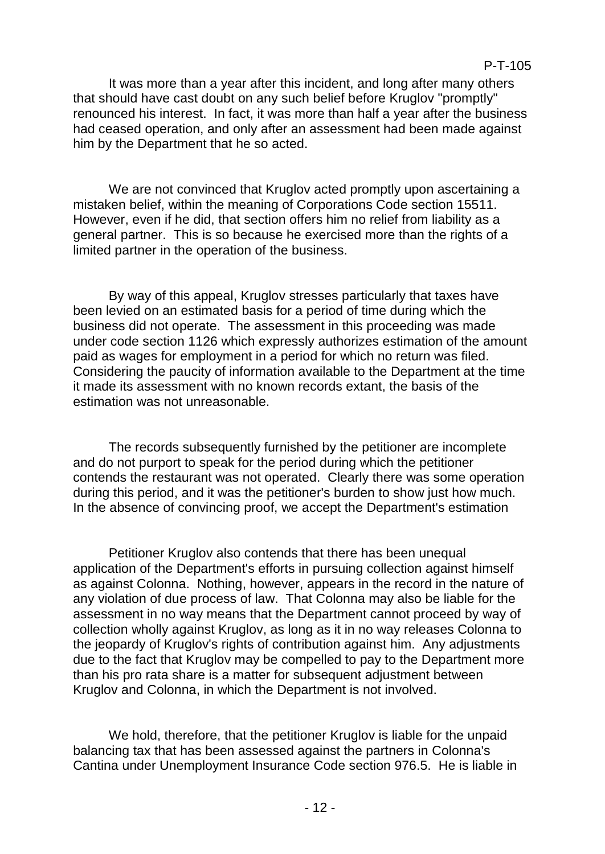It was more than a year after this incident, and long after many others that should have cast doubt on any such belief before Kruglov "promptly" renounced his interest. In fact, it was more than half a year after the business had ceased operation, and only after an assessment had been made against him by the Department that he so acted.

We are not convinced that Kruglov acted promptly upon ascertaining a mistaken belief, within the meaning of Corporations Code section 15511. However, even if he did, that section offers him no relief from liability as a general partner. This is so because he exercised more than the rights of a limited partner in the operation of the business.

By way of this appeal, Kruglov stresses particularly that taxes have been levied on an estimated basis for a period of time during which the business did not operate. The assessment in this proceeding was made under code section 1126 which expressly authorizes estimation of the amount paid as wages for employment in a period for which no return was filed. Considering the paucity of information available to the Department at the time it made its assessment with no known records extant, the basis of the estimation was not unreasonable.

The records subsequently furnished by the petitioner are incomplete and do not purport to speak for the period during which the petitioner contends the restaurant was not operated. Clearly there was some operation during this period, and it was the petitioner's burden to show just how much. In the absence of convincing proof, we accept the Department's estimation

Petitioner Kruglov also contends that there has been unequal application of the Department's efforts in pursuing collection against himself as against Colonna. Nothing, however, appears in the record in the nature of any violation of due process of law. That Colonna may also be liable for the assessment in no way means that the Department cannot proceed by way of collection wholly against Kruglov, as long as it in no way releases Colonna to the jeopardy of Kruglov's rights of contribution against him. Any adjustments due to the fact that Kruglov may be compelled to pay to the Department more than his pro rata share is a matter for subsequent adjustment between Kruglov and Colonna, in which the Department is not involved.

We hold, therefore, that the petitioner Kruglov is liable for the unpaid balancing tax that has been assessed against the partners in Colonna's Cantina under Unemployment Insurance Code section 976.5. He is liable in